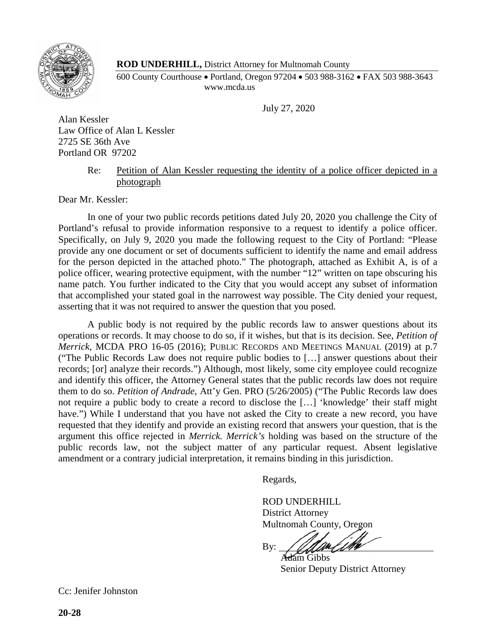

## **ROD UNDERHILL,** District Attorney for Multnomah County

600 County Courthouse • Portland, Oregon 97204 • 503 988-3162 • FAX 503 988-3643 www.mcda.us

July 27, 2020

Alan Kessler Law Office of Alan L Kessler 2725 SE 36th Ave Portland OR 97202

## Re: Petition of Alan Kessler requesting the identity of a police officer depicted in a photograph

Dear Mr. Kessler:

In one of your two public records petitions dated July 20, 2020 you challenge the City of Portland's refusal to provide information responsive to a request to identify a police officer. Specifically, on July 9, 2020 you made the following request to the City of Portland: "Please provide any one document or set of documents sufficient to identify the name and email address for the person depicted in the attached photo." The photograph, attached as Exhibit A, is of a police officer, wearing protective equipment, with the number "12" written on tape obscuring his name patch. You further indicated to the City that you would accept any subset of information that accomplished your stated goal in the narrowest way possible. The City denied your request, asserting that it was not required to answer the question that you posed.

A public body is not required by the public records law to answer questions about its operations or records. It may choose to do so, if it wishes, but that is its decision. See, *Petition of Merrick*, MCDA PRO 16-05 (2016); PUBLIC RECORDS AND MEETINGS MANUAL (2019) at p.7 ("The Public Records Law does not require public bodies to […] answer questions about their records; [or] analyze their records.") Although, most likely, some city employee could recognize and identify this officer, the Attorney General states that the public records law does not require them to do so. *Petition of Andrade*, Att'y Gen. PRO (5/26/2005) ("The Public Records law does not require a public body to create a record to disclose the […] 'knowledge' their staff might have.") While I understand that you have not asked the City to create a new record, you have requested that they identify and provide an existing record that answers your question, that is the argument this office rejected in *Merrick. Merrick's* holding was based on the structure of the public records law, not the subject matter of any particular request. Absent legislative amendment or a contrary judicial interpretation, it remains binding in this jurisdiction.

Regards,

ROD UNDERHILL District Attorney Multnomah County, Oregon

By:

Adam Gibbs Senior Deputy District Attorney

Cc: Jenifer Johnston